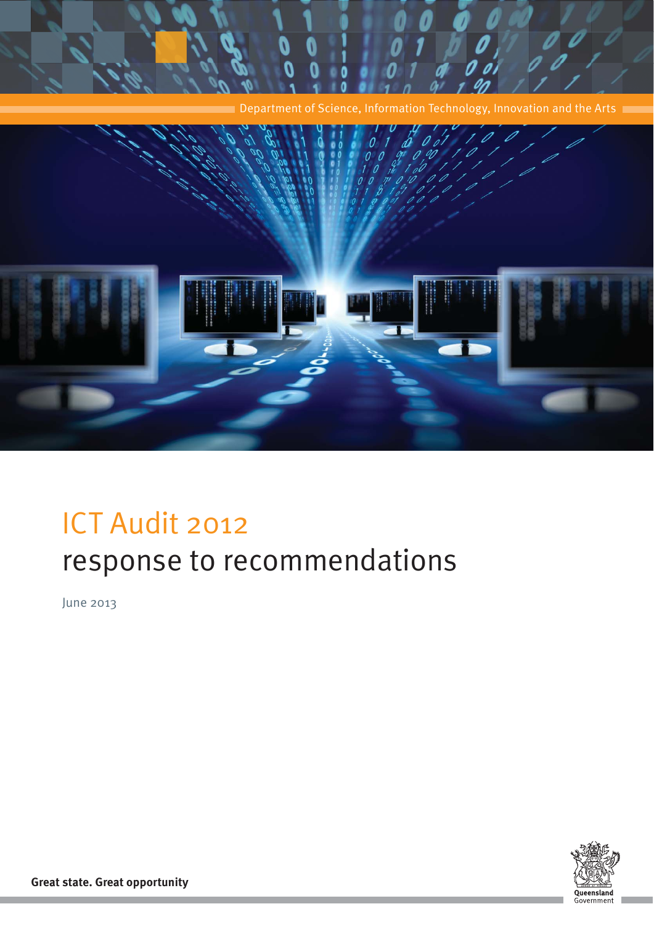

# ICT Audit 2012 response to recommendations

June 2013



**Great state. Great opportunity**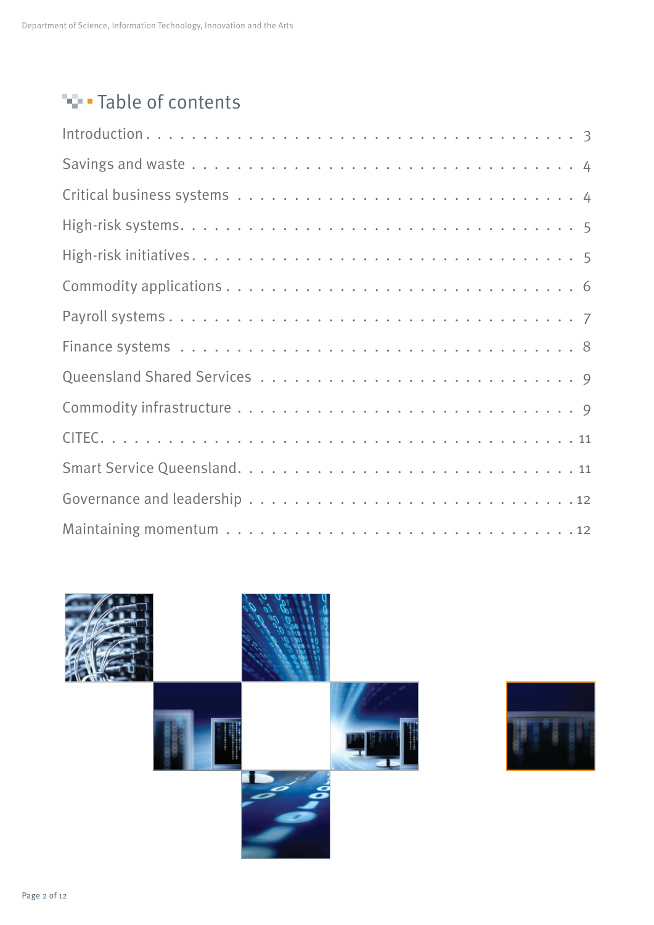## **Table of contents**



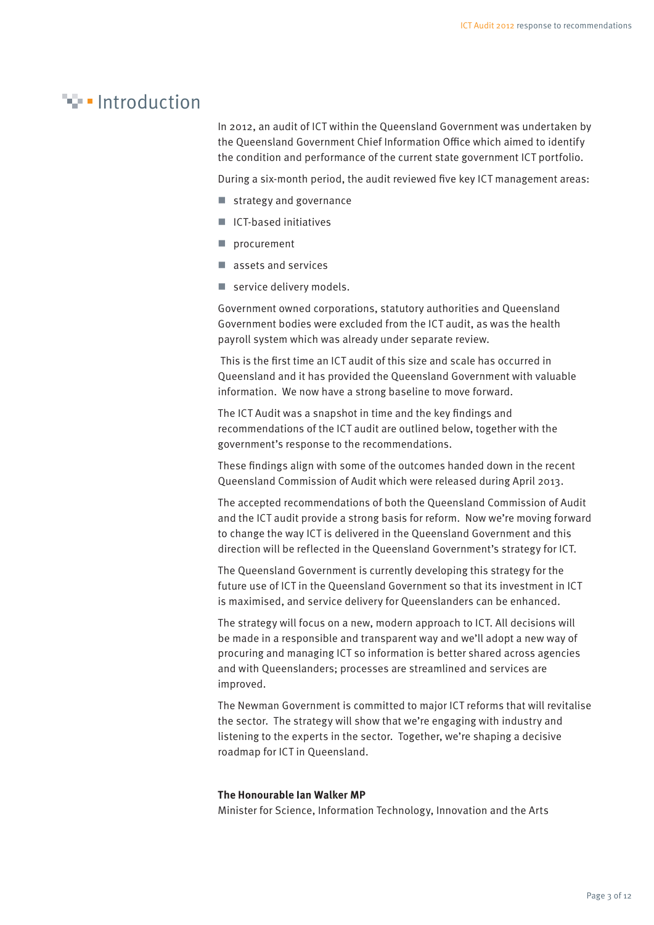#### **Introduction**

In 2012, an audit of ICT within the Queensland Government was undertaken by the Queensland Government Chief Information Office which aimed to identify the condition and performance of the current state government ICT portfolio.

During a six-month period, the audit reviewed five key ICT management areas:

- strategy and governance
- ICT-based initiatives
- procurement
- assets and services
- service delivery models.

Government owned corporations, statutory authorities and Queensland Government bodies were excluded from the ICT audit, as was the health payroll system which was already under separate review.

This is the first time an ICT audit of this size and scale has occurred in Queensland and it has provided the Queensland Government with valuable information. We now have a strong baseline to move forward.

The ICT Audit was a snapshot in time and the key findings and recommendations of the ICT audit are outlined below, together with the government's response to the recommendations.

These findings align with some of the outcomes handed down in the recent Queensland Commission of Audit which were released during April 2013.

The accepted recommendations of both the Queensland Commission of Audit and the ICT audit provide a strong basis for reform. Now we're moving forward to change the way ICT is delivered in the Queensland Government and this direction will be reflected in the Queensland Government's strategy for ICT.

The Queensland Government is currently developing this strategy for the future use of ICT in the Queensland Government so that its investment in ICT is maximised, and service delivery for Queenslanders can be enhanced.

The strategy will focus on a new, modern approach to ICT. All decisions will be made in a responsible and transparent way and we'll adopt a new way of procuring and managing ICT so information is better shared across agencies and with Queenslanders; processes are streamlined and services are improved.

The Newman Government is committed to major ICT reforms that will revitalise the sector. The strategy will show that we're engaging with industry and listening to the experts in the sector. Together, we're shaping a decisive roadmap for ICT in Queensland.

#### **The Honourable Ian Walker MP**

Minister for Science, Information Technology, Innovation and the Arts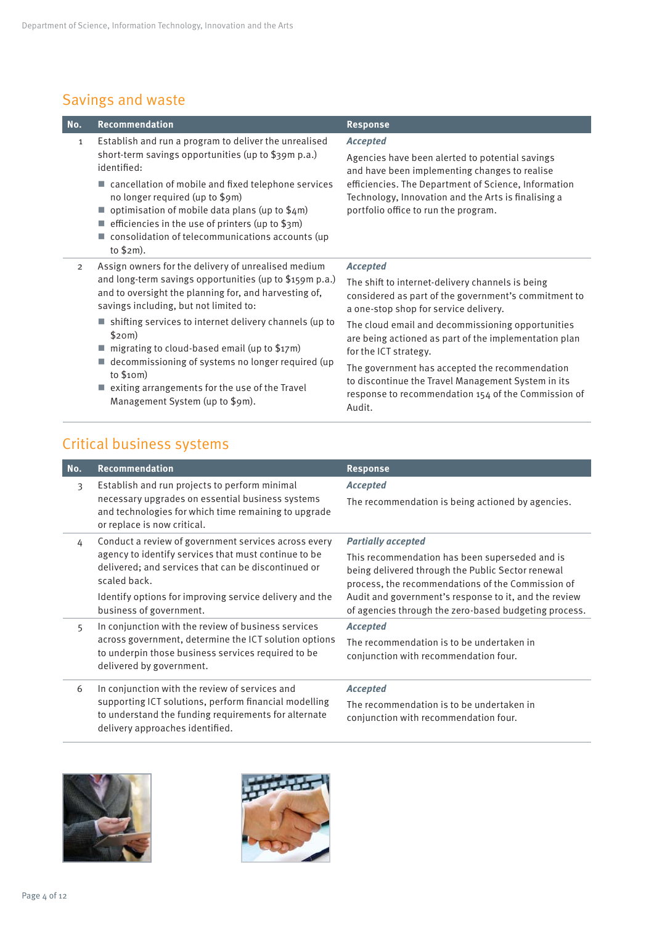#### Savings and waste

| No.            | Recommendation                                                                                                                                                                                                                                                                                                                                                                                                                                                                                                              | <b>Response</b>                                                                                                                                                                                                                                                                                                                                                                                                                                                                      |
|----------------|-----------------------------------------------------------------------------------------------------------------------------------------------------------------------------------------------------------------------------------------------------------------------------------------------------------------------------------------------------------------------------------------------------------------------------------------------------------------------------------------------------------------------------|--------------------------------------------------------------------------------------------------------------------------------------------------------------------------------------------------------------------------------------------------------------------------------------------------------------------------------------------------------------------------------------------------------------------------------------------------------------------------------------|
| 1              | Establish and run a program to deliver the unrealised<br>short-term savings opportunities (up to \$39m p.a.)<br>identified:<br>$\blacksquare$ cancellation of mobile and fixed telephone services<br>no longer required (up to \$9m)<br>optimisation of mobile data plans (up to \$4m)<br>efficiencies in the use of printers (up to \$3m)<br>consolidation of telecommunications accounts (up<br>to $$2m$ ).                                                                                                               | <b>Accepted</b><br>Agencies have been alerted to potential savings<br>and have been implementing changes to realise<br>efficiencies. The Department of Science, Information<br>Technology, Innovation and the Arts is finalising a<br>portfolio office to run the program.                                                                                                                                                                                                           |
| $\overline{2}$ | Assign owners for the delivery of unrealised medium<br>and long-term savings opportunities (up to \$159m p.a.)<br>and to oversight the planning for, and harvesting of,<br>savings including, but not limited to:<br>$\blacksquare$ shifting services to internet delivery channels (up to<br>\$20m)<br>$\blacksquare$ migrating to cloud-based email (up to \$17m)<br>decommissioning of systems no longer required (up<br>to $$10m)$<br>exiting arrangements for the use of the Travel<br>Management System (up to \$9m). | <b>Accepted</b><br>The shift to internet-delivery channels is being<br>considered as part of the government's commitment to<br>a one-stop shop for service delivery.<br>The cloud email and decommissioning opportunities<br>are being actioned as part of the implementation plan<br>for the ICT strategy.<br>The government has accepted the recommendation<br>to discontinue the Travel Management System in its<br>response to recommendation 154 of the Commission of<br>Audit. |

#### Critical business systems

| No. | Recommendation                                                                                                                                                                                                                                                            | <b>Response</b>                                                                                                                                                                                                                                                                                         |
|-----|---------------------------------------------------------------------------------------------------------------------------------------------------------------------------------------------------------------------------------------------------------------------------|---------------------------------------------------------------------------------------------------------------------------------------------------------------------------------------------------------------------------------------------------------------------------------------------------------|
| 3   | Establish and run projects to perform minimal<br>necessary upgrades on essential business systems<br>and technologies for which time remaining to upgrade<br>or replace is now critical.                                                                                  | <b>Accepted</b><br>The recommendation is being actioned by agencies.                                                                                                                                                                                                                                    |
| 4   | Conduct a review of government services across every<br>agency to identify services that must continue to be<br>delivered; and services that can be discontinued or<br>scaled back.<br>Identify options for improving service delivery and the<br>business of government. | <b>Partially accepted</b><br>This recommendation has been superseded and is<br>being delivered through the Public Sector renewal<br>process, the recommendations of the Commission of<br>Audit and government's response to it, and the review<br>of agencies through the zero-based budgeting process. |
| 5   | In conjunction with the review of business services<br>across government, determine the ICT solution options<br>to underpin those business services required to be<br>delivered by government.                                                                            | <b>Accepted</b><br>The recommendation is to be undertaken in<br>conjunction with recommendation four.                                                                                                                                                                                                   |
| 6   | In conjunction with the review of services and<br>supporting ICT solutions, perform financial modelling<br>to understand the funding requirements for alternate<br>delivery approaches identified.                                                                        | <b>Accepted</b><br>The recommendation is to be undertaken in<br>conjunction with recommendation four.                                                                                                                                                                                                   |



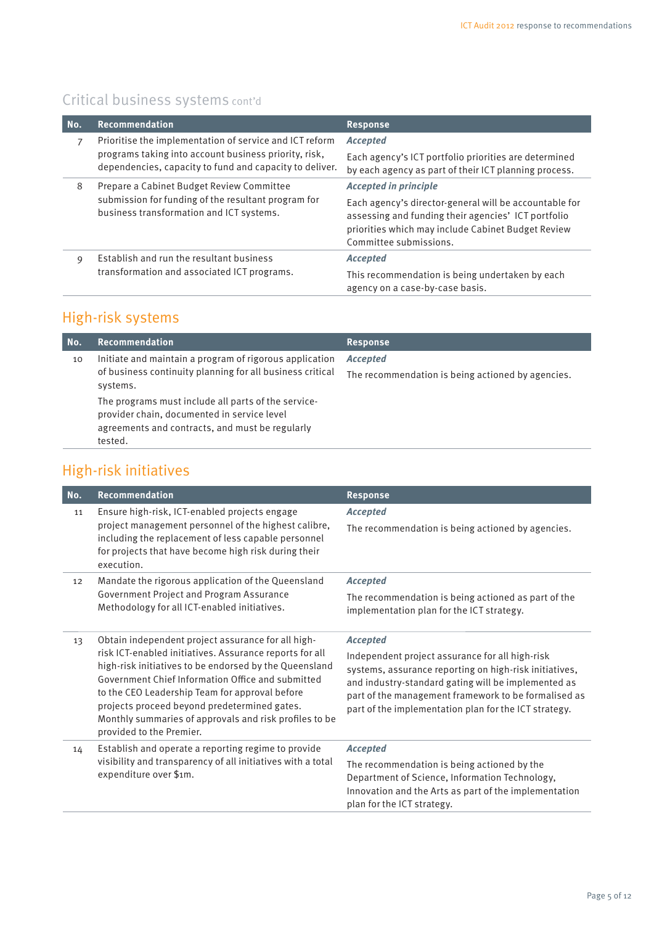#### Critical business systems cont'd

| No.                                                                                             | Recommendation                                                                                                                                                                                | <b>Response</b>                                                                                                |
|-------------------------------------------------------------------------------------------------|-----------------------------------------------------------------------------------------------------------------------------------------------------------------------------------------------|----------------------------------------------------------------------------------------------------------------|
|                                                                                                 | Prioritise the implementation of service and ICT reform<br>programs taking into account business priority, risk,<br>dependencies, capacity to fund and capacity to deliver.                   | <b>Accepted</b>                                                                                                |
|                                                                                                 |                                                                                                                                                                                               | Each agency's ICT portfolio priorities are determined<br>by each agency as part of their ICT planning process. |
| 8                                                                                               | Prepare a Cabinet Budget Review Committee                                                                                                                                                     | <b>Accepted in principle</b>                                                                                   |
| submission for funding of the resultant program for<br>business transformation and ICT systems. | Each agency's director-general will be accountable for<br>assessing and funding their agencies' ICT portfolio<br>priorities which may include Cabinet Budget Review<br>Committee submissions. |                                                                                                                |
| 9                                                                                               | Establish and run the resultant business                                                                                                                                                      | <b>Accepted</b>                                                                                                |
|                                                                                                 | transformation and associated ICT programs.                                                                                                                                                   | This recommendation is being undertaken by each<br>agency on a case-by-case basis.                             |

#### High-risk systems

| No. | <b>Recommendation</b>                                                                                                                                            | <b>Response</b>                                   |
|-----|------------------------------------------------------------------------------------------------------------------------------------------------------------------|---------------------------------------------------|
| 10  | Initiate and maintain a program of rigorous application                                                                                                          | <b>Accepted</b>                                   |
|     | of business continuity planning for all business critical<br>systems.                                                                                            | The recommendation is being actioned by agencies. |
|     | The programs must include all parts of the service-<br>provider chain, documented in service level<br>agreements and contracts, and must be regularly<br>tested. |                                                   |

#### High-risk initiatives

| No. | Recommendation                                                                                                                                                                                                                                                                                                                                                                                                       | <b>Response</b>                                                                                                                                                                                                                                                                                      |
|-----|----------------------------------------------------------------------------------------------------------------------------------------------------------------------------------------------------------------------------------------------------------------------------------------------------------------------------------------------------------------------------------------------------------------------|------------------------------------------------------------------------------------------------------------------------------------------------------------------------------------------------------------------------------------------------------------------------------------------------------|
| 11  | Ensure high-risk, ICT-enabled projects engage<br>project management personnel of the highest calibre,<br>including the replacement of less capable personnel<br>for projects that have become high risk during their<br>execution.                                                                                                                                                                                   | <b>Accepted</b><br>The recommendation is being actioned by agencies.                                                                                                                                                                                                                                 |
| 12  | Mandate the rigorous application of the Queensland<br>Government Project and Program Assurance<br>Methodology for all ICT-enabled initiatives.                                                                                                                                                                                                                                                                       | <b>Accepted</b>                                                                                                                                                                                                                                                                                      |
|     |                                                                                                                                                                                                                                                                                                                                                                                                                      | The recommendation is being actioned as part of the<br>implementation plan for the ICT strategy.                                                                                                                                                                                                     |
| 13  | Obtain independent project assurance for all high-<br>risk ICT-enabled initiatives. Assurance reports for all<br>high-risk initiatives to be endorsed by the Queensland<br>Government Chief Information Office and submitted<br>to the CEO Leadership Team for approval before<br>projects proceed beyond predetermined gates.<br>Monthly summaries of approvals and risk profiles to be<br>provided to the Premier. | <b>Accepted</b><br>Independent project assurance for all high-risk<br>systems, assurance reporting on high-risk initiatives,<br>and industry-standard gating will be implemented as<br>part of the management framework to be formalised as<br>part of the implementation plan for the ICT strategy. |
| 14  | Establish and operate a reporting regime to provide<br>visibility and transparency of all initiatives with a total<br>expenditure over \$1m.                                                                                                                                                                                                                                                                         | <b>Accepted</b><br>The recommendation is being actioned by the<br>Department of Science, Information Technology,<br>Innovation and the Arts as part of the implementation<br>plan for the ICT strategy.                                                                                              |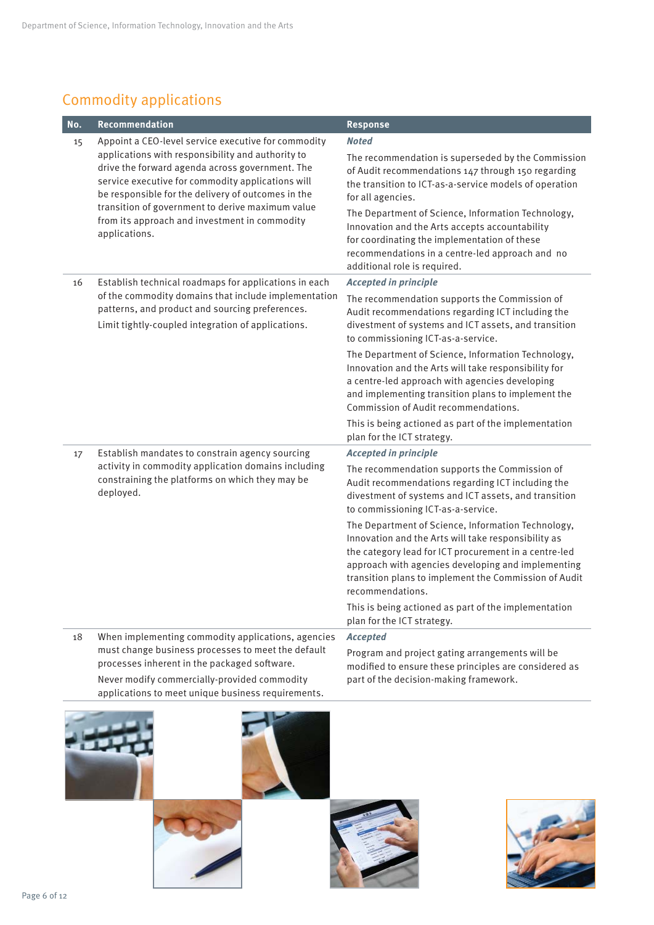### Commodity applications

| No. | Recommendation                                                                                                                                                                                                                                                                                                                                                                               | <b>Response</b>                                                                                                                                                                                                                                                                                                                                                                                                                                                                                                                                                                                                                 |
|-----|----------------------------------------------------------------------------------------------------------------------------------------------------------------------------------------------------------------------------------------------------------------------------------------------------------------------------------------------------------------------------------------------|---------------------------------------------------------------------------------------------------------------------------------------------------------------------------------------------------------------------------------------------------------------------------------------------------------------------------------------------------------------------------------------------------------------------------------------------------------------------------------------------------------------------------------------------------------------------------------------------------------------------------------|
| 15  | Appoint a CEO-level service executive for commodity<br>applications with responsibility and authority to<br>drive the forward agenda across government. The<br>service executive for commodity applications will<br>be responsible for the delivery of outcomes in the<br>transition of government to derive maximum value<br>from its approach and investment in commodity<br>applications. | <b>Noted</b><br>The recommendation is superseded by the Commission<br>of Audit recommendations 147 through 150 regarding<br>the transition to ICT-as-a-service models of operation<br>for all agencies.<br>The Department of Science, Information Technology,<br>Innovation and the Arts accepts accountability<br>for coordinating the implementation of these<br>recommendations in a centre-led approach and no<br>additional role is required.                                                                                                                                                                              |
| 16  | Establish technical roadmaps for applications in each<br>of the commodity domains that include implementation<br>patterns, and product and sourcing preferences.<br>Limit tightly-coupled integration of applications.                                                                                                                                                                       | <b>Accepted in principle</b><br>The recommendation supports the Commission of<br>Audit recommendations regarding ICT including the<br>divestment of systems and ICT assets, and transition<br>to commissioning ICT-as-a-service.<br>The Department of Science, Information Technology,<br>Innovation and the Arts will take responsibility for<br>a centre-led approach with agencies developing<br>and implementing transition plans to implement the<br>Commission of Audit recommendations.<br>This is being actioned as part of the implementation<br>plan for the ICT strategy.                                            |
| 17  | Establish mandates to constrain agency sourcing<br>activity in commodity application domains including<br>constraining the platforms on which they may be<br>deployed.                                                                                                                                                                                                                       | <b>Accepted in principle</b><br>The recommendation supports the Commission of<br>Audit recommendations regarding ICT including the<br>divestment of systems and ICT assets, and transition<br>to commissioning ICT-as-a-service.<br>The Department of Science, Information Technology,<br>Innovation and the Arts will take responsibility as<br>the category lead for ICT procurement in a centre-led<br>approach with agencies developing and implementing<br>transition plans to implement the Commission of Audit<br>recommendations.<br>This is being actioned as part of the implementation<br>plan for the ICT strategy. |
| 18  | When implementing commodity applications, agencies<br>must change business processes to meet the default<br>processes inherent in the packaged software.<br>Never modify commercially-provided commodity<br>applications to meet unique business requirements.                                                                                                                               | <b>Accepted</b><br>Program and project gating arrangements will be<br>modified to ensure these principles are considered as<br>part of the decision-making framework.                                                                                                                                                                                                                                                                                                                                                                                                                                                           |

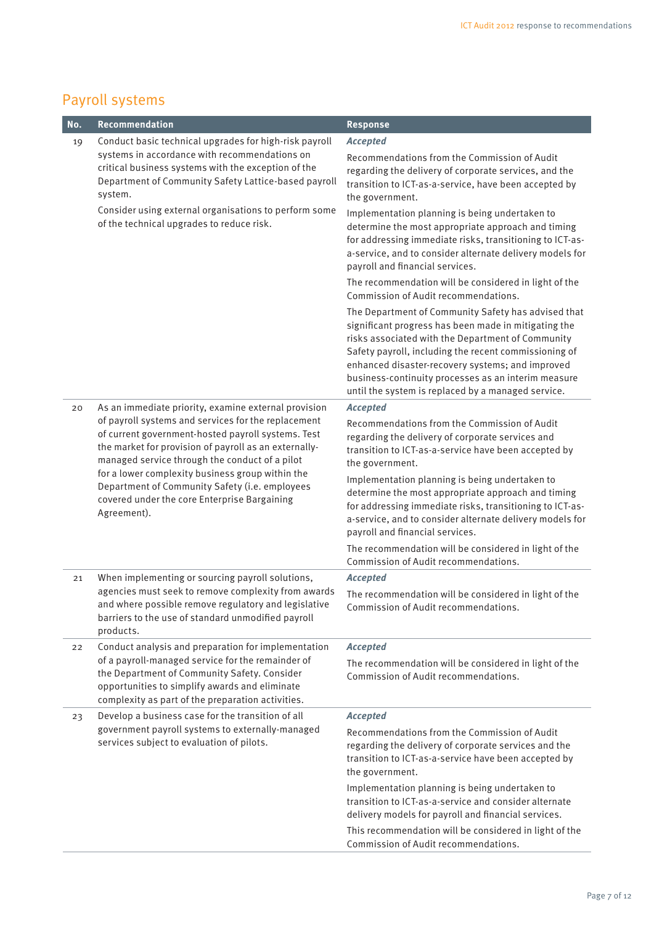#### Payroll systems

| No. | Recommendation                                                                                                                                                                                                                                                                                                                                                                            | <b>Response</b>                                                                                                                                                                                                                                                                                                                                                                            |
|-----|-------------------------------------------------------------------------------------------------------------------------------------------------------------------------------------------------------------------------------------------------------------------------------------------------------------------------------------------------------------------------------------------|--------------------------------------------------------------------------------------------------------------------------------------------------------------------------------------------------------------------------------------------------------------------------------------------------------------------------------------------------------------------------------------------|
| 19  | Conduct basic technical upgrades for high-risk payroll                                                                                                                                                                                                                                                                                                                                    | <b>Accepted</b>                                                                                                                                                                                                                                                                                                                                                                            |
|     | systems in accordance with recommendations on<br>critical business systems with the exception of the<br>Department of Community Safety Lattice-based payroll<br>system.<br>Consider using external organisations to perform some<br>of the technical upgrades to reduce risk.                                                                                                             | Recommendations from the Commission of Audit<br>regarding the delivery of corporate services, and the<br>transition to ICT-as-a-service, have been accepted by<br>the government.                                                                                                                                                                                                          |
|     |                                                                                                                                                                                                                                                                                                                                                                                           | Implementation planning is being undertaken to<br>determine the most appropriate approach and timing<br>for addressing immediate risks, transitioning to ICT-as-<br>a-service, and to consider alternate delivery models for<br>payroll and financial services.                                                                                                                            |
|     |                                                                                                                                                                                                                                                                                                                                                                                           | The recommendation will be considered in light of the<br>Commission of Audit recommendations.                                                                                                                                                                                                                                                                                              |
|     |                                                                                                                                                                                                                                                                                                                                                                                           | The Department of Community Safety has advised that<br>significant progress has been made in mitigating the<br>risks associated with the Department of Community<br>Safety payroll, including the recent commissioning of<br>enhanced disaster-recovery systems; and improved<br>business-continuity processes as an interim measure<br>until the system is replaced by a managed service. |
| 20  | As an immediate priority, examine external provision                                                                                                                                                                                                                                                                                                                                      | <b>Accepted</b>                                                                                                                                                                                                                                                                                                                                                                            |
|     | of payroll systems and services for the replacement<br>of current government-hosted payroll systems. Test<br>the market for provision of payroll as an externally-<br>managed service through the conduct of a pilot<br>for a lower complexity business group within the<br>Department of Community Safety (i.e. employees<br>covered under the core Enterprise Bargaining<br>Agreement). | Recommendations from the Commission of Audit<br>regarding the delivery of corporate services and<br>transition to ICT-as-a-service have been accepted by<br>the government.                                                                                                                                                                                                                |
|     |                                                                                                                                                                                                                                                                                                                                                                                           | Implementation planning is being undertaken to<br>determine the most appropriate approach and timing<br>for addressing immediate risks, transitioning to ICT-as-<br>a-service, and to consider alternate delivery models for<br>payroll and financial services.                                                                                                                            |
|     |                                                                                                                                                                                                                                                                                                                                                                                           | The recommendation will be considered in light of the<br>Commission of Audit recommendations.                                                                                                                                                                                                                                                                                              |
| 21  | When implementing or sourcing payroll solutions,                                                                                                                                                                                                                                                                                                                                          | <b>Accepted</b>                                                                                                                                                                                                                                                                                                                                                                            |
|     | agencies must seek to remove complexity from awards<br>and where possible remove regulatory and legislative<br>barriers to the use of standard unmodified payroll<br>products.                                                                                                                                                                                                            | The recommendation will be considered in light of the<br>Commission of Audit recommendations.                                                                                                                                                                                                                                                                                              |
| 22  | Conduct analysis and preparation for implementation                                                                                                                                                                                                                                                                                                                                       | <b>Accepted</b>                                                                                                                                                                                                                                                                                                                                                                            |
|     | of a payroll-managed service for the remainder of<br>the Department of Community Safety. Consider<br>opportunities to simplify awards and eliminate<br>complexity as part of the preparation activities.                                                                                                                                                                                  | The recommendation will be considered in light of the<br>Commission of Audit recommendations.                                                                                                                                                                                                                                                                                              |
| 23  | Develop a business case for the transition of all                                                                                                                                                                                                                                                                                                                                         | <b>Accepted</b>                                                                                                                                                                                                                                                                                                                                                                            |
|     | government payroll systems to externally-managed<br>services subject to evaluation of pilots.                                                                                                                                                                                                                                                                                             | Recommendations from the Commission of Audit<br>regarding the delivery of corporate services and the<br>transition to ICT-as-a-service have been accepted by<br>the government.                                                                                                                                                                                                            |
|     |                                                                                                                                                                                                                                                                                                                                                                                           | Implementation planning is being undertaken to<br>transition to ICT-as-a-service and consider alternate<br>delivery models for payroll and financial services.                                                                                                                                                                                                                             |
|     |                                                                                                                                                                                                                                                                                                                                                                                           | This recommendation will be considered in light of the<br>Commission of Audit recommendations.                                                                                                                                                                                                                                                                                             |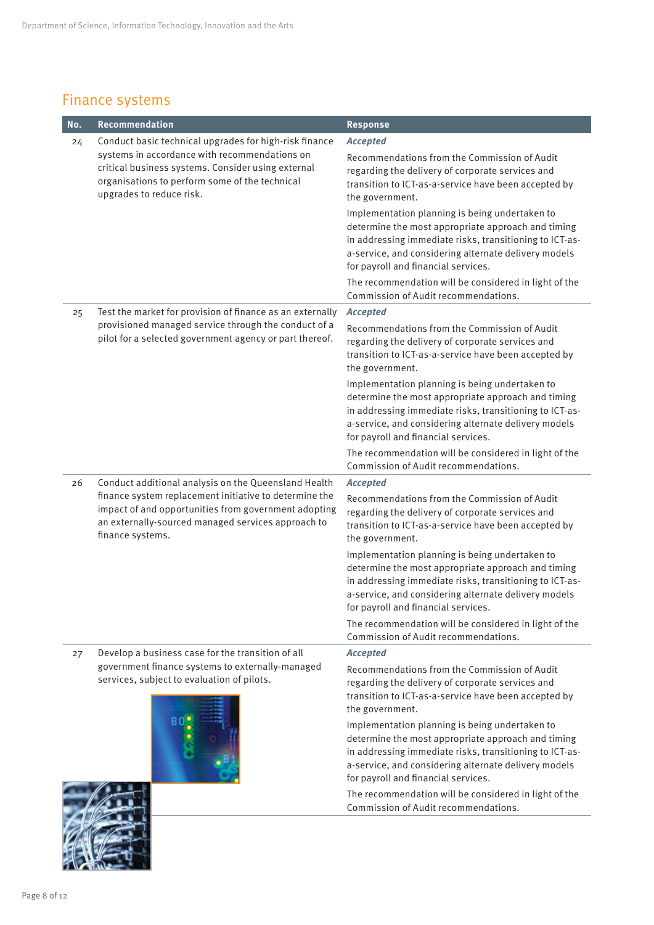#### Finance systems

| No. | Recommendation                                                                                                                                                                           | <b>Response</b>                                                                                                                                                                                                                                                |
|-----|------------------------------------------------------------------------------------------------------------------------------------------------------------------------------------------|----------------------------------------------------------------------------------------------------------------------------------------------------------------------------------------------------------------------------------------------------------------|
| 24  | Conduct basic technical upgrades for high-risk finance                                                                                                                                   | <b>Accepted</b>                                                                                                                                                                                                                                                |
|     | systems in accordance with recommendations on<br>critical business systems. Consider using external<br>organisations to perform some of the technical<br>upgrades to reduce risk.        | Recommendations from the Commission of Audit<br>regarding the delivery of corporate services and<br>transition to ICT-as-a-service have been accepted by<br>the government.                                                                                    |
|     |                                                                                                                                                                                          | Implementation planning is being undertaken to<br>determine the most appropriate approach and timing<br>in addressing immediate risks, transitioning to ICT-as-<br>a-service, and considering alternate delivery models<br>for payroll and financial services. |
|     |                                                                                                                                                                                          | The recommendation will be considered in light of the<br>Commission of Audit recommendations.                                                                                                                                                                  |
| 25  | Test the market for provision of finance as an externally                                                                                                                                | <b>Accepted</b>                                                                                                                                                                                                                                                |
|     | provisioned managed service through the conduct of a<br>pilot for a selected government agency or part thereof.                                                                          | Recommendations from the Commission of Audit<br>regarding the delivery of corporate services and<br>transition to ICT-as-a-service have been accepted by<br>the government.                                                                                    |
|     |                                                                                                                                                                                          | Implementation planning is being undertaken to<br>determine the most appropriate approach and timing<br>in addressing immediate risks, transitioning to ICT-as-<br>a-service, and considering alternate delivery models<br>for payroll and financial services. |
|     |                                                                                                                                                                                          | The recommendation will be considered in light of the<br>Commission of Audit recommendations.                                                                                                                                                                  |
| 26  | Conduct additional analysis on the Queensland Health                                                                                                                                     | <b>Accepted</b>                                                                                                                                                                                                                                                |
|     | finance system replacement initiative to determine the<br>impact of and opportunities from government adopting<br>an externally-sourced managed services approach to<br>finance systems. | Recommendations from the Commission of Audit<br>regarding the delivery of corporate services and<br>transition to ICT-as-a-service have been accepted by<br>the government.                                                                                    |
|     |                                                                                                                                                                                          | Implementation planning is being undertaken to<br>determine the most appropriate approach and timing<br>in addressing immediate risks, transitioning to ICT-as-<br>a-service, and considering alternate delivery models<br>for payroll and financial services. |
|     |                                                                                                                                                                                          | The recommendation will be considered in light of the<br>Commission of Audit recommendations.                                                                                                                                                                  |
| 27  | Develop a business case for the transition of all                                                                                                                                        | <b>Accepted</b>                                                                                                                                                                                                                                                |
|     | government finance systems to externally-managed<br>services, subject to evaluation of pilots.                                                                                           | Recommendations from the Commission of Audit<br>regarding the delivery of corporate services and<br>transition to ICT-as-a-service have been accepted by<br>the government.                                                                                    |
|     |                                                                                                                                                                                          | Implementation planning is being undertaken to<br>determine the most appropriate approach and timing<br>in addressing immediate risks, transitioning to ICT-as-<br>a-service, and considering alternate delivery models<br>for payroll and financial services. |
|     |                                                                                                                                                                                          | The recommendation will be considered in light of the<br>Commission of Audit recommendations.                                                                                                                                                                  |

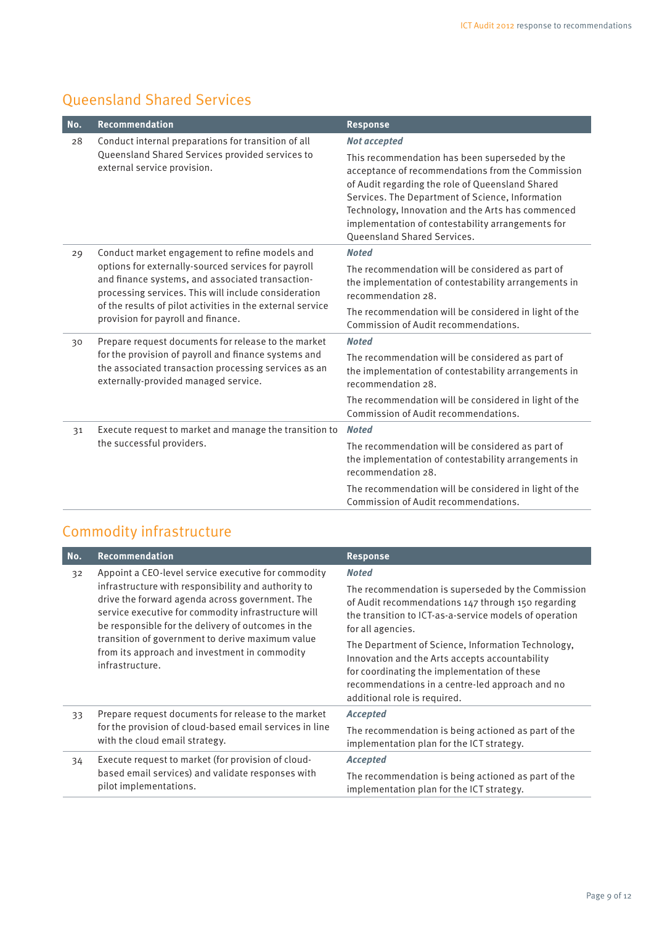#### Queensland Shared Services

| No. | Recommendation                                                                                                                                                                                                                                                      | <b>Response</b>                                                                                                                                                                                                                                                                                                                                      |
|-----|---------------------------------------------------------------------------------------------------------------------------------------------------------------------------------------------------------------------------------------------------------------------|------------------------------------------------------------------------------------------------------------------------------------------------------------------------------------------------------------------------------------------------------------------------------------------------------------------------------------------------------|
| 28  | Conduct internal preparations for transition of all                                                                                                                                                                                                                 | <b>Not accepted</b>                                                                                                                                                                                                                                                                                                                                  |
|     | Queensland Shared Services provided services to<br>external service provision.                                                                                                                                                                                      | This recommendation has been superseded by the<br>acceptance of recommendations from the Commission<br>of Audit regarding the role of Queensland Shared<br>Services. The Department of Science, Information<br>Technology, Innovation and the Arts has commenced<br>implementation of contestability arrangements for<br>Queensland Shared Services. |
| 29  | Conduct market engagement to refine models and                                                                                                                                                                                                                      | <b>Noted</b>                                                                                                                                                                                                                                                                                                                                         |
|     | options for externally-sourced services for payroll<br>and finance systems, and associated transaction-<br>processing services. This will include consideration<br>of the results of pilot activities in the external service<br>provision for payroll and finance. | The recommendation will be considered as part of<br>the implementation of contestability arrangements in<br>recommendation 28.                                                                                                                                                                                                                       |
|     |                                                                                                                                                                                                                                                                     | The recommendation will be considered in light of the<br>Commission of Audit recommendations.                                                                                                                                                                                                                                                        |
| 30  | Prepare request documents for release to the market<br>for the provision of payroll and finance systems and<br>the associated transaction processing services as an<br>externally-provided managed service.                                                         | <b>Noted</b>                                                                                                                                                                                                                                                                                                                                         |
|     |                                                                                                                                                                                                                                                                     | The recommendation will be considered as part of<br>the implementation of contestability arrangements in<br>recommendation 28.                                                                                                                                                                                                                       |
|     |                                                                                                                                                                                                                                                                     | The recommendation will be considered in light of the<br>Commission of Audit recommendations.                                                                                                                                                                                                                                                        |
| 31  | Execute request to market and manage the transition to                                                                                                                                                                                                              | <b>Noted</b>                                                                                                                                                                                                                                                                                                                                         |
|     | the successful providers.                                                                                                                                                                                                                                           | The recommendation will be considered as part of<br>the implementation of contestability arrangements in<br>recommendation 28.                                                                                                                                                                                                                       |
|     |                                                                                                                                                                                                                                                                     | The recommendation will be considered in light of the<br>Commission of Audit recommendations.                                                                                                                                                                                                                                                        |

#### Commodity infrastructure

| No.                                                                                                                  | <b>Recommendation</b>                                                                                                                                                                                                                                                      | <b>Response</b>                                                                                                                                                                                         |
|----------------------------------------------------------------------------------------------------------------------|----------------------------------------------------------------------------------------------------------------------------------------------------------------------------------------------------------------------------------------------------------------------------|---------------------------------------------------------------------------------------------------------------------------------------------------------------------------------------------------------|
| 32                                                                                                                   | Appoint a CEO-level service executive for commodity<br>infrastructure with responsibility and authority to<br>drive the forward agenda across government. The<br>service executive for commodity infrastructure will<br>be responsible for the delivery of outcomes in the | <b>Noted</b><br>The recommendation is superseded by the Commission<br>of Audit recommendations 147 through 150 regarding<br>the transition to ICT-as-a-service models of operation<br>for all agencies. |
| transition of government to derive maximum value<br>from its approach and investment in commodity<br>infrastructure. | The Department of Science, Information Technology,<br>Innovation and the Arts accepts accountability<br>for coordinating the implementation of these<br>recommendations in a centre-led approach and no<br>additional role is required.                                    |                                                                                                                                                                                                         |
| 33                                                                                                                   | Prepare request documents for release to the market                                                                                                                                                                                                                        | <b>Accepted</b>                                                                                                                                                                                         |
|                                                                                                                      | for the provision of cloud-based email services in line<br>with the cloud email strategy.                                                                                                                                                                                  | The recommendation is being actioned as part of the<br>implementation plan for the ICT strategy.                                                                                                        |
| 34                                                                                                                   | Execute request to market (for provision of cloud-<br>based email services) and validate responses with<br>pilot implementations.                                                                                                                                          | <b>Accepted</b>                                                                                                                                                                                         |
|                                                                                                                      |                                                                                                                                                                                                                                                                            | The recommendation is being actioned as part of the<br>implementation plan for the ICT strategy.                                                                                                        |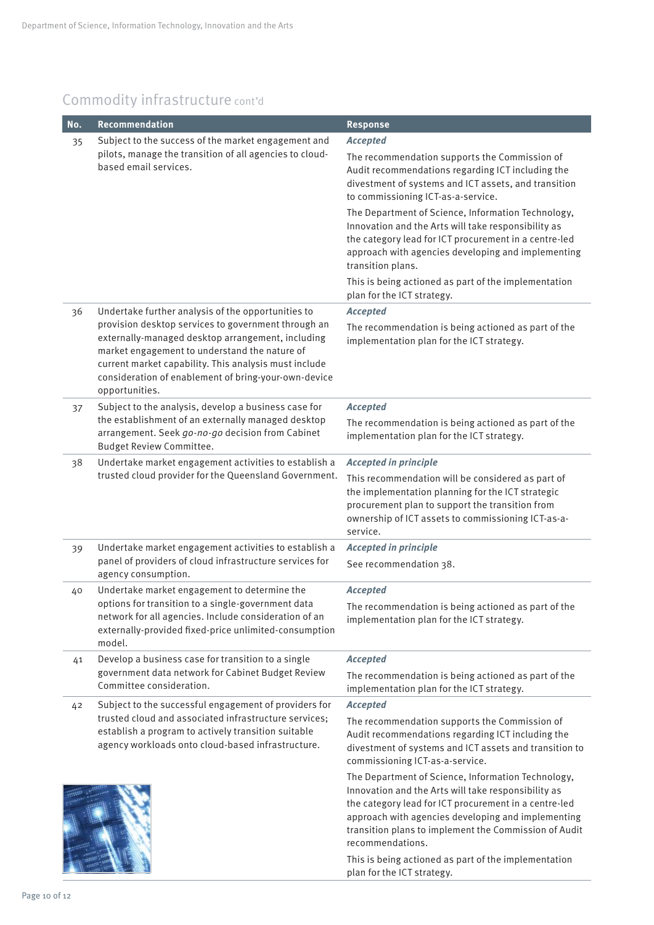#### Commodity infrastructure cont'd

| No. | Recommendation                                                                                                                                                                                                                                                                               | <b>Response</b>                                                                                                                                                                                                                                                                                                                                               |
|-----|----------------------------------------------------------------------------------------------------------------------------------------------------------------------------------------------------------------------------------------------------------------------------------------------|---------------------------------------------------------------------------------------------------------------------------------------------------------------------------------------------------------------------------------------------------------------------------------------------------------------------------------------------------------------|
| 35  | Subject to the success of the market engagement and<br>pilots, manage the transition of all agencies to cloud-<br>based email services.                                                                                                                                                      | <b>Accepted</b>                                                                                                                                                                                                                                                                                                                                               |
|     |                                                                                                                                                                                                                                                                                              | The recommendation supports the Commission of<br>Audit recommendations regarding ICT including the<br>divestment of systems and ICT assets, and transition<br>to commissioning ICT-as-a-service.                                                                                                                                                              |
|     |                                                                                                                                                                                                                                                                                              | The Department of Science, Information Technology,<br>Innovation and the Arts will take responsibility as<br>the category lead for ICT procurement in a centre-led<br>approach with agencies developing and implementing<br>transition plans.                                                                                                                 |
|     |                                                                                                                                                                                                                                                                                              | This is being actioned as part of the implementation<br>plan for the ICT strategy.                                                                                                                                                                                                                                                                            |
| 36  | Undertake further analysis of the opportunities to                                                                                                                                                                                                                                           | <b>Accepted</b>                                                                                                                                                                                                                                                                                                                                               |
|     | provision desktop services to government through an<br>externally-managed desktop arrangement, including<br>market engagement to understand the nature of<br>current market capability. This analysis must include<br>consideration of enablement of bring-your-own-device<br>opportunities. | The recommendation is being actioned as part of the<br>implementation plan for the ICT strategy.                                                                                                                                                                                                                                                              |
| 37  | Subject to the analysis, develop a business case for                                                                                                                                                                                                                                         | <b>Accepted</b>                                                                                                                                                                                                                                                                                                                                               |
|     | the establishment of an externally managed desktop<br>arrangement. Seek go-no-go decision from Cabinet<br>Budget Review Committee.                                                                                                                                                           | The recommendation is being actioned as part of the<br>implementation plan for the ICT strategy.                                                                                                                                                                                                                                                              |
| 38  | Undertake market engagement activities to establish a<br>trusted cloud provider for the Queensland Government.                                                                                                                                                                               | <b>Accepted in principle</b>                                                                                                                                                                                                                                                                                                                                  |
|     |                                                                                                                                                                                                                                                                                              | This recommendation will be considered as part of<br>the implementation planning for the ICT strategic<br>procurement plan to support the transition from<br>ownership of ICT assets to commissioning ICT-as-a-<br>service.                                                                                                                                   |
| 39  | Undertake market engagement activities to establish a                                                                                                                                                                                                                                        | <b>Accepted in principle</b>                                                                                                                                                                                                                                                                                                                                  |
|     | panel of providers of cloud infrastructure services for<br>agency consumption.                                                                                                                                                                                                               | See recommendation 38.                                                                                                                                                                                                                                                                                                                                        |
| 40  | Undertake market engagement to determine the                                                                                                                                                                                                                                                 | <b>Accepted</b>                                                                                                                                                                                                                                                                                                                                               |
|     | options for transition to a single-government data<br>network for all agencies. Include consideration of an<br>externally-provided fixed-price unlimited-consumption<br>model.                                                                                                               | The recommendation is being actioned as part of the<br>implementation plan for the ICT strategy.                                                                                                                                                                                                                                                              |
| 41  | Develop a business case for transition to a single                                                                                                                                                                                                                                           | <b>Accepted</b>                                                                                                                                                                                                                                                                                                                                               |
|     | government data network for Cabinet Budget Review<br>Committee consideration.                                                                                                                                                                                                                | The recommendation is being actioned as part of the<br>implementation plan for the ICT strategy.                                                                                                                                                                                                                                                              |
| 42  | Subject to the successful engagement of providers for<br>trusted cloud and associated infrastructure services;<br>establish a program to actively transition suitable<br>agency workloads onto cloud-based infrastructure.                                                                   | <b>Accepted</b>                                                                                                                                                                                                                                                                                                                                               |
|     |                                                                                                                                                                                                                                                                                              | The recommendation supports the Commission of<br>Audit recommendations regarding ICT including the<br>divestment of systems and ICT assets and transition to<br>commissioning ICT-as-a-service.                                                                                                                                                               |
|     |                                                                                                                                                                                                                                                                                              | The Department of Science, Information Technology,<br>Innovation and the Arts will take responsibility as<br>the category lead for ICT procurement in a centre-led<br>approach with agencies developing and implementing<br>transition plans to implement the Commission of Audit<br>recommendations.<br>This is being actioned as part of the implementation |
|     |                                                                                                                                                                                                                                                                                              | plan for the ICT strategy.                                                                                                                                                                                                                                                                                                                                    |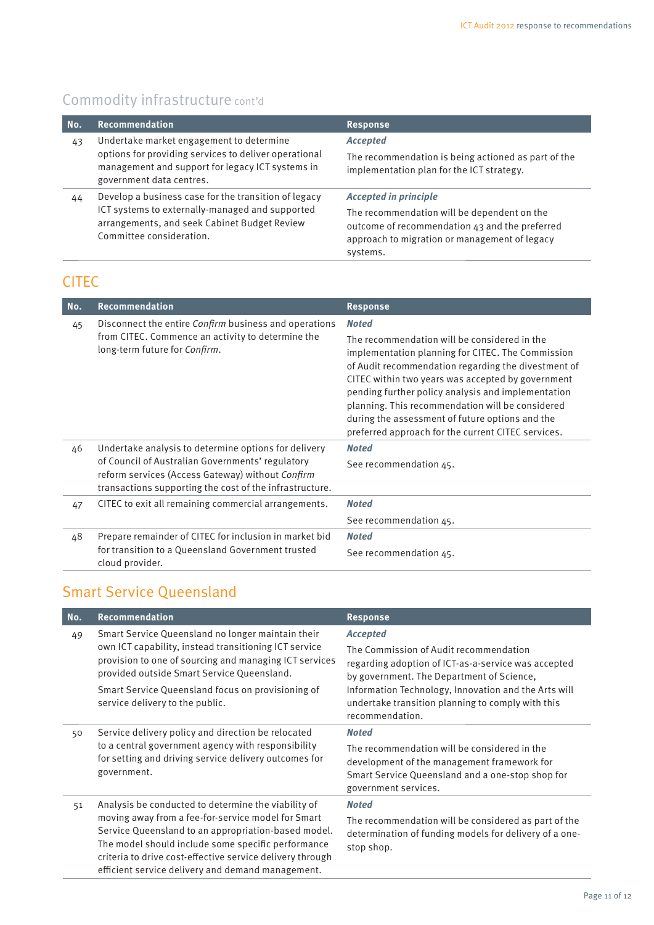#### Commodity infrastructure cont'd

| No. | Recommendation                                                                                                                                                                      | <b>Response</b>                                                                                                                                                                            |
|-----|-------------------------------------------------------------------------------------------------------------------------------------------------------------------------------------|--------------------------------------------------------------------------------------------------------------------------------------------------------------------------------------------|
| 43  | Undertake market engagement to determine<br>options for providing services to deliver operational<br>management and support for legacy ICT systems in<br>government data centres.   | <b>Accepted</b><br>The recommendation is being actioned as part of the<br>implementation plan for the ICT strategy.                                                                        |
| 44  | Develop a business case for the transition of legacy<br>ICT systems to externally-managed and supported<br>arrangements, and seek Cabinet Budget Review<br>Committee consideration. | <b>Accepted in principle</b><br>The recommendation will be dependent on the<br>outcome of recommendation 43 and the preferred<br>approach to migration or management of legacy<br>systems. |

#### **CITEC**

| No. | <b>Recommendation</b>                                                                                                                                                                                                   | <b>Response</b>                                                                                                                                                                                                                                                                                                                                                                                                                                  |
|-----|-------------------------------------------------------------------------------------------------------------------------------------------------------------------------------------------------------------------------|--------------------------------------------------------------------------------------------------------------------------------------------------------------------------------------------------------------------------------------------------------------------------------------------------------------------------------------------------------------------------------------------------------------------------------------------------|
| 45  | Disconnect the entire Confirm business and operations<br>from CITEC. Commence an activity to determine the<br>long-term future for Confirm.                                                                             | <b>Noted</b><br>The recommendation will be considered in the<br>implementation planning for CITEC. The Commission<br>of Audit recommendation regarding the divestment of<br>CITEC within two years was accepted by government<br>pending further policy analysis and implementation<br>planning. This recommendation will be considered<br>during the assessment of future options and the<br>preferred approach for the current CITEC services. |
| 46  | Undertake analysis to determine options for delivery<br>of Council of Australian Governments' regulatory<br>reform services (Access Gateway) without Confirm<br>transactions supporting the cost of the infrastructure. | <b>Noted</b><br>See recommendation 45.                                                                                                                                                                                                                                                                                                                                                                                                           |
| 47  | CITEC to exit all remaining commercial arrangements.                                                                                                                                                                    | <b>Noted</b><br>See recommendation 45.                                                                                                                                                                                                                                                                                                                                                                                                           |
| 48  | Prepare remainder of CITEC for inclusion in market bid<br>for transition to a Queensland Government trusted<br>cloud provider.                                                                                          | <b>Noted</b><br>See recommendation 45.                                                                                                                                                                                                                                                                                                                                                                                                           |

#### Smart Service Queensland

| No. | <b>Recommendation</b>                                                                                                                                                                                                                                                                                                                    | <b>Response</b>                                                                                                                                                                                                                                                                               |
|-----|------------------------------------------------------------------------------------------------------------------------------------------------------------------------------------------------------------------------------------------------------------------------------------------------------------------------------------------|-----------------------------------------------------------------------------------------------------------------------------------------------------------------------------------------------------------------------------------------------------------------------------------------------|
| 49  | Smart Service Queensland no longer maintain their<br>own ICT capability, instead transitioning ICT service<br>provision to one of sourcing and managing ICT services<br>provided outside Smart Service Queensland.<br>Smart Service Queensland focus on provisioning of<br>service delivery to the public.                               | <b>Accepted</b><br>The Commission of Audit recommendation<br>regarding adoption of ICT-as-a-service was accepted<br>by government. The Department of Science,<br>Information Technology, Innovation and the Arts will<br>undertake transition planning to comply with this<br>recommendation. |
| 50  | Service delivery policy and direction be relocated<br>to a central government agency with responsibility<br>for setting and driving service delivery outcomes for<br>government.                                                                                                                                                         | <b>Noted</b><br>The recommendation will be considered in the<br>development of the management framework for<br>Smart Service Queensland and a one-stop shop for<br>government services.                                                                                                       |
| 51  | Analysis be conducted to determine the viability of<br>moving away from a fee-for-service model for Smart<br>Service Queensland to an appropriation-based model.<br>The model should include some specific performance<br>criteria to drive cost-effective service delivery through<br>efficient service delivery and demand management. | <b>Noted</b><br>The recommendation will be considered as part of the<br>determination of funding models for delivery of a one-<br>stop shop.                                                                                                                                                  |